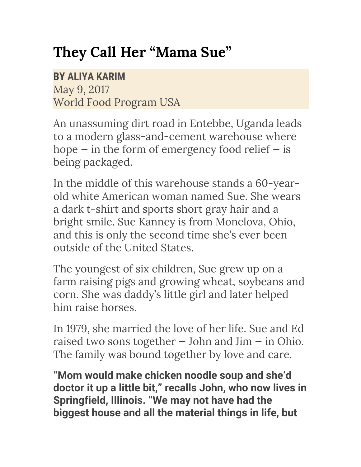## **They Call Her "Mama Sue"**

## **BY ALIYA KARIM**

May 9, 2017 World Food Program USA

An unassuming dirt road in Entebbe, Uganda leads to a modern glass-and-cement warehouse where hope  $-$  in the form of emergency food relief  $-$  is being packaged.

In the middle of this warehouse stands a 60-yearold white American woman named Sue. She wears a dark t-shirt and sports short gray hair and a bright smile. Sue Kanney is from Monclova, Ohio, and this is only the second time she's ever been outside of the United States.

The youngest of six children, Sue grew up on a farm raising pigs and growing wheat, soybeans and corn. She was daddy's little girl and later helped him raise horses.

In 1979, she married the love of her life. Sue and Ed raised two sons together  $-$  John and Jim  $-$  in Ohio. The family was bound together by love and care.

**"Mom would make chicken noodle soup and she'd doctor it up a little bit," recalls John, who now lives in Springfield, Illinois. "We may not have had the biggest house and all the material things in life, but**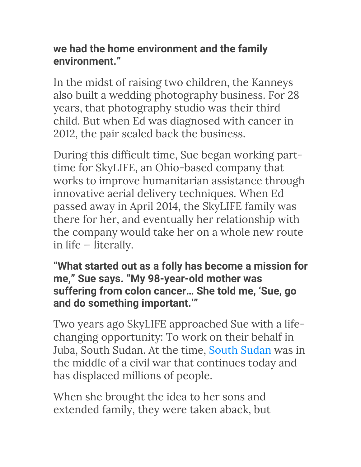## **we had the home environment and the family environment."**

In the midst of raising two children, the Kanneys also built a wedding photography business. For 28 years, that photography studio was their third child. But when Ed was diagnosed with cancer in 2012, the pair scaled back the business.

During this difficult time, Sue began working parttime for SkyLIFE, an Ohio-based company that works to improve humanitarian assistance through innovative aerial delivery techniques. When Ed passed away in April 2014, the SkyLIFE family was there for her, and eventually her relationship with the company would take her on a whole new route in life — literally.

**"What started out as a folly has become a mission for me," Sue says. "My 98-year-old mother was suffering from colon cancer… She told me, 'Sue, go and do something important.'"**

Two years ago SkyLIFE approached Sue with a lifechanging opportunity: To work on their behalf in Juba, South Sudan. At the time, South Sudan was in the middle of a civil war that continues today and has displaced millions of people.

When she brought the idea to her sons and extended family, they were taken aback, but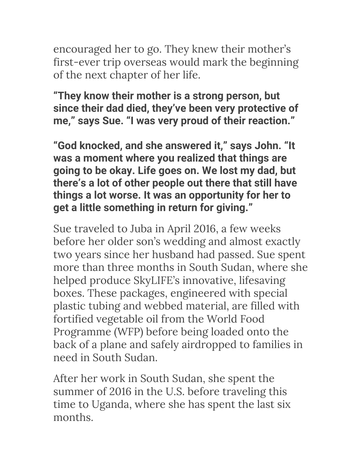encouraged her to go. They knew their mother's first-ever trip overseas would mark the beginning of the next chapter of her life.

**"They know their mother is a strong person, but since their dad died, they've been very protective of me," says Sue. "I was very proud of their reaction."**

**"God knocked, and she answered it," says John. "It was a moment where you realized that things are going to be okay. Life goes on. We lost my dad, but there's a lot of other people out there that still have things a lot worse. It was an opportunity for her to get a little something in return for giving."**

Sue traveled to Juba in April 2016, a few weeks before her older son's wedding and almost exactly two years since her husband had passed. Sue spent more than three months in South Sudan, where she helped produce SkyLIFE's innovative, lifesaving boxes. These packages, engineered with special plastic tubing and webbed material, are filled with fortified vegetable oil from the World Food Programme (WFP) before being loaded onto the back of a plane and safely airdropped to families in need in South Sudan.

After her work in South Sudan, she spent the summer of 2016 in the U.S. before traveling this time to Uganda, where she has spent the last six months.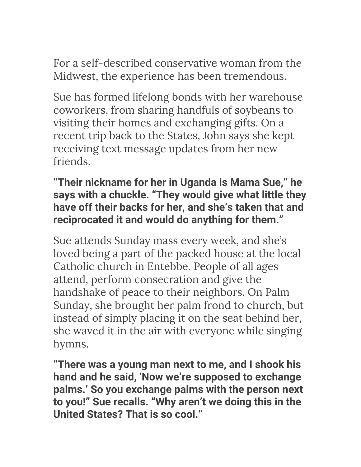For a self-described conservative woman from the Midwest, the experience has been tremendous.

Sue has formed lifelong bonds with her warehouse coworkers, from sharing handfuls of soybeans to visiting their homes and exchanging gifts. On a recent trip back to the States, John says she kept receiving text message updates from her new friends.

## **"Their nickname for her in Uganda is Mama Sue," he says with a chuckle. "They would give what little they have off their backs for her, and she's taken that and reciprocated it and would do anything for them."**

Sue attends Sunday mass every week, and she's loved being a part of the packed house at the local Catholic church in Entebbe. People of all ages attend, perform consecration and give the handshake of peace to their neighbors. On Palm Sunday, she brought her palm frond to church, but instead of simply placing it on the seat behind her, she waved it in the air with everyone while singing hymns.

**"There was a young man next to me, and I shook his hand and he said, 'Now we're supposed to exchange palms.' So you exchange palms with the person next to you!" Sue recalls. "Why aren't we doing this in the United States? That is so cool."**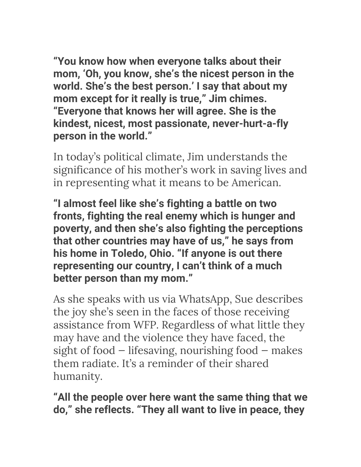**"You know how when everyone talks about their mom, 'Oh, you know, she's the nicest person in the world. She's the best person.' I say that about my mom except for it really is true," Jim chimes. "Everyone that knows her will agree. She is the kindest, nicest, most passionate, never-hurt-a-fly**  person in the world."

In today's political climate, Jim understands the significance of his mother's work in saving lives and in representing what it means to be American.

**"I almost feel like she's fighting a battle on two fronts, fighting the real enemy which is hunger and poverty, and then she's also fighting the perceptions that other countries may have of us," he says from his home in Toledo, Ohio. "If anyone is out there representing our country, I can't think of a much better person than my mom."**

As she speaks with us via WhatsApp, Sue describes the joy she's seen in the faces of those receiving assistance from WFP. Regardless of what little they may have and the violence they have faced, the sight of food — lifesaving, nourishing food — makes them radiate. It's a reminder of their shared humanity.

**"All the people over here want the same thing that we do," she reflects. "They all want to live in peace, they**